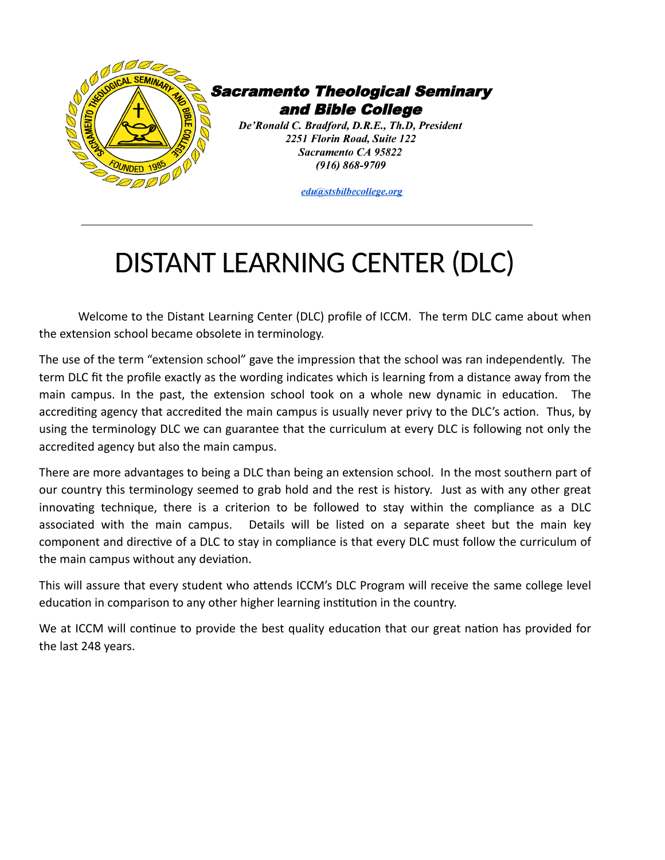

## DISTANT LEARNING CENTER (DLC)

Welcome to the Distant Learning Center (DLC) profile of ICCM. The term DLC came about when the extension school became obsolete in terminology.

The use of the term "extension school" gave the impression that the school was ran independently. The term DLC fit the profile exactly as the wording indicates which is learning from a distance away from the main campus. In the past, the extension school took on a whole new dynamic in education. The accrediting agency that accredited the main campus is usually never privy to the DLC's action. Thus, by using the terminology DLC we can guarantee that the curriculum at every DLC is following not only the accredited agency but also the main campus.

There are more advantages to being a DLC than being an extension school. In the most southern part of our country this terminology seemed to grab hold and the rest is history. Just as with any other great innovating technique, there is a criterion to be followed to stay within the compliance as a DLC associated with the main campus. Details will be listed on a separate sheet but the main key component and directive of a DLC to stay in compliance is that every DLC must follow the curriculum of the main campus without any deviation.

This will assure that every student who attends ICCM's DLC Program will receive the same college level education in comparison to any other higher learning institution in the country.

We at ICCM will continue to provide the best quality education that our great nation has provided for the last 248 years.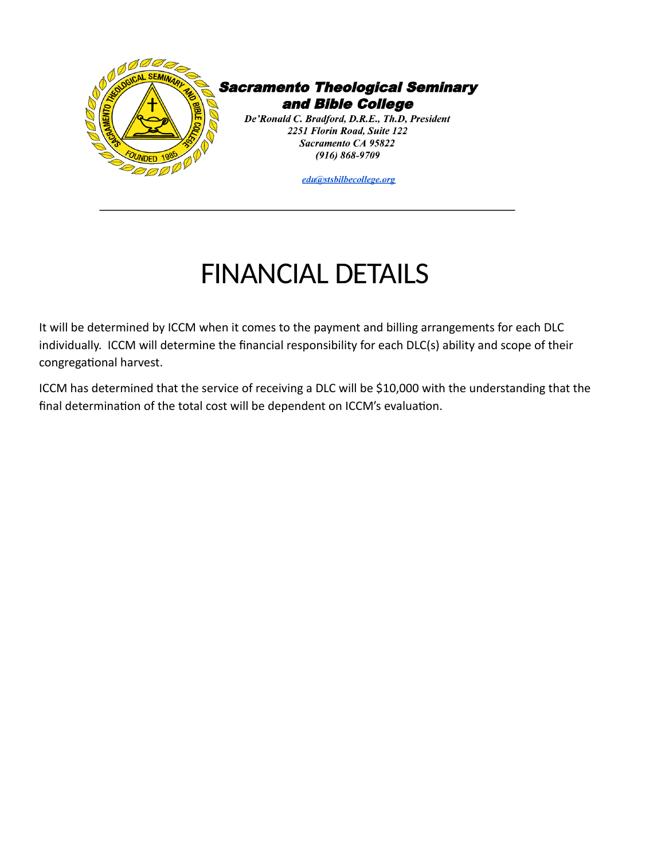

**Sacramento Theological Seminary** and Bible College

De'Ronald C. Bradford, D.R.E., Th.D, President 2251 Florin Road, Suite 122 Sacramento CA 95822  $(916) 868 - 9709$ 

edu@stsbilbecollege.org

## FINANCIAL DETAILS

It will be determined by ICCM when it comes to the payment and billing arrangements for each DLC individually. ICCM will determine the financial responsibility for each DLC(s) ability and scope of their congregational harvest.

ICCM has determined that the service of receiving a DLC will be \$10,000 with the understanding that the final determination of the total cost will be dependent on ICCM's evaluation.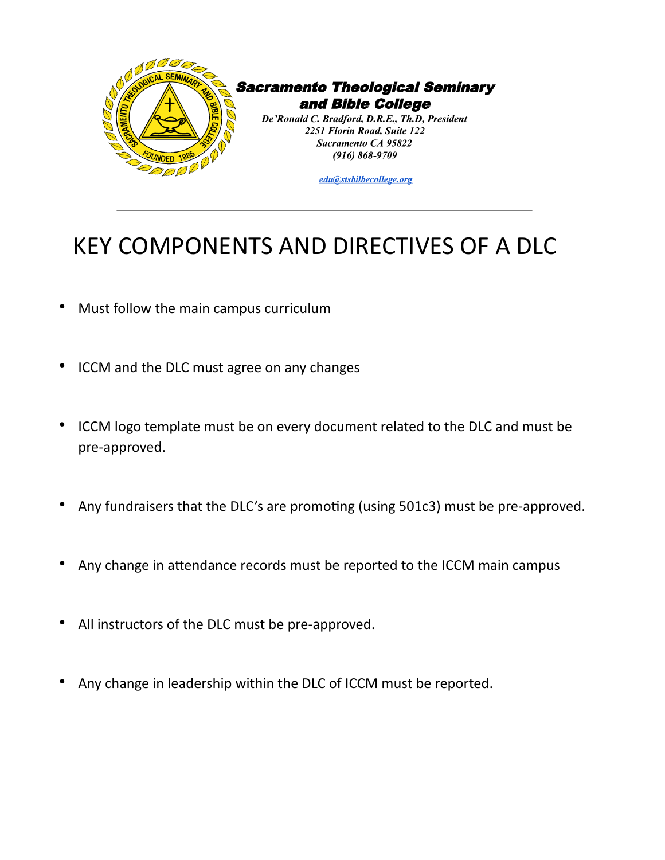

## KEY COMPONENTS AND DIRECTIVES OF A DLC

- Must follow the main campus curriculum
- ICCM and the DLC must agree on any changes
- ICCM logo template must be on every document related to the DLC and must be pre-approved.
- Any fundraisers that the DLC's are promoting (using 501c3) must be pre-approved.
- Any change in attendance records must be reported to the ICCM main campus
- All instructors of the DLC must be pre-approved.
- Any change in leadership within the DLC of ICCM must be reported.